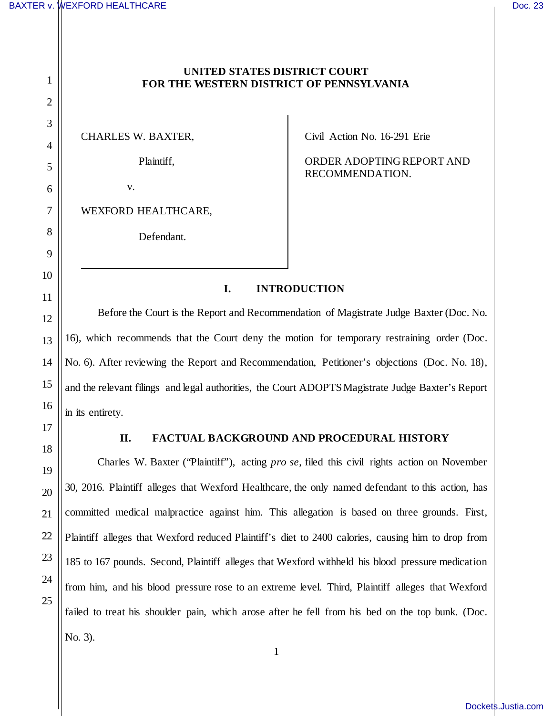1

2

3

4

5

6

7

8

9

10

11

12

13

14

15

16

17

18

19

20

21

22

23

24

25

## **UNITED STATES DISTRICT COURT FOR THE WESTERN DISTRICT OF PENNSYLVANIA**

CHARLES W. BAXTER,

Plaintiff,

v.

WEXFORD HEALTHCARE,

Defendant.

Civil Action No. 16-291 Erie

ORDER ADOPTING REPORT AND RECOMMENDATION.

## **I. INTRODUCTION**

Before the Court is the Report and Recommendation of Magistrate Judge Baxter (Doc. No. 16), which recommends that the Court deny the motion for temporary restraining order (Doc. No. 6). After reviewing the Report and Recommendation, Petitioner's objections (Doc. No. 18), and the relevant filings and legal authorities, the Court ADOPTS Magistrate Judge Baxter's Report in its entirety.

## **II. FACTUAL BACKGROUND AND PROCEDURAL HISTORY**

Charles W. Baxter ("Plaintiff"), acting *pro se*, filed this civil rights action on November 30, 2016. Plaintiff alleges that Wexford Healthcare, the only named defendant to this action, has committed medical malpractice against him. This allegation is based on three grounds. First, Plaintiff alleges that Wexford reduced Plaintiff's diet to 2400 calories, causing him to drop from 185 to 167 pounds. Second, Plaintiff alleges that Wexford withheld his blood pressure medication from him, and his blood pressure rose to an extreme level. Third, Plaintiff alleges that Wexford failed to treat his shoulder pain, which arose after he fell from his bed on the top bunk. (Doc. No. 3).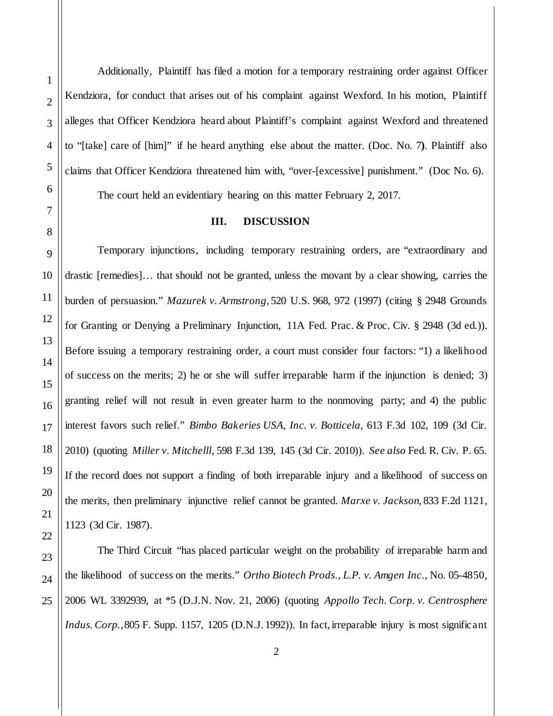Additionally, Plaintiff has filed a motion for a temporary restraining order against Officer Kendziora, for conduct that arises out of his complaint against Wexford. In his motion, Plaintiff alleges that Officer Kendziora heard about Plaintiff's complaint against Wexford and threatened to "[take] care of [him]" if he heard anything else about the matter. (Doc. No. 7**)**. Plaintiff also claims that Officer Kendziora threatened him with, "over-[excessive] punishment." (Doc No. 6). The court held an evidentiary hearing on this matter February 2, 2017.

## **III. DISCUSSION**

Temporary injunctions, including temporary restraining orders, are "extraordinary and drastic [remedies]… that should not be granted, unless the movant by a clear showing, carries the burden of persuasion." *Mazurek v. Armstrong*, 520 U.S. 968, 972 (1997) (citing § 2948 Grounds for Granting or Denying a Preliminary Injunction, 11A Fed. Prac. & Proc. Civ. § 2948 (3d ed.)). Before issuing a temporary restraining order, a court must consider four factors: "1) a likelihood of success on the merits; 2) he or she will suffer irreparable harm if the injunction is denied; 3) granting relief will not result in even greater harm to the nonmoving party; and 4) the public interest favors such relief." *Bimbo Bakeries USA, Inc. v. Botticela*, 613 F.3d 102, 109 (3d Cir. 2010) (quoting *Miller v. Mitchelll*, 598 F.3d 139, 145 (3d Cir. 2010)). *See also* Fed. R. Civ. P. 65. If the record does not support a finding of both irreparable injury and a likelihood of success on the merits, then preliminary injunctive relief cannot be granted. *Marxe v. Jackson*, 833 F.2d 1121, 1123 (3d Cir. 1987).

The Third Circuit "has placed particular weight on the probability of irreparable harm and the likelihood of success on the merits." *Ortho Biotech Prods., L.P. v. Amgen Inc.*, No. 05-4850, 2006 WL 3392939, at \*5 (D.J.N. Nov. 21, 2006) (quoting *Appollo Tech. Corp. v. Centrosphere Indus. Corp.*, 805 F. Supp. 1157, 1205 (D.N.J. 1992)). In fact, irreparable injury is most significant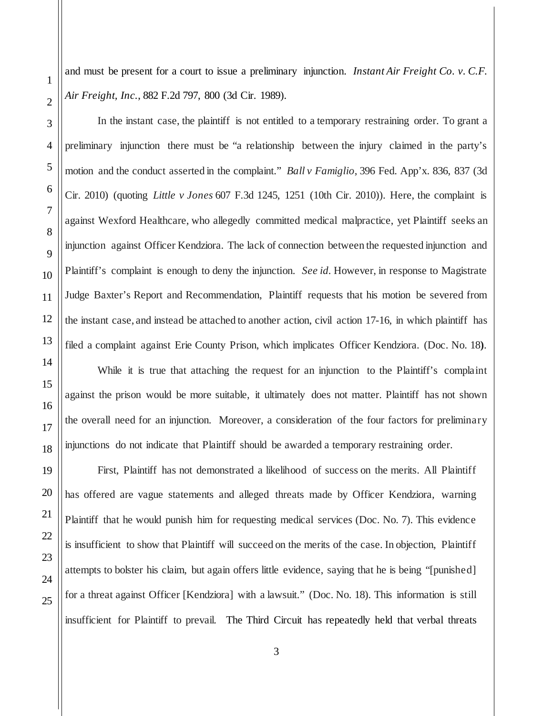and must be present for a court to issue a preliminary injunction. *Instant Air Freight Co. v. C.F. Air Freight, Inc.*, 882 F.2d 797, 800 (3d Cir. 1989).

In the instant case, the plaintiff is not entitled to a temporary restraining order. To grant a preliminary injunction there must be "a relationship between the injury claimed in the party's motion and the conduct asserted in the complaint." *Ball v Famiglio*, 396 Fed. App'x. 836, 837 (3d Cir. 2010) (quoting *Little v Jones* 607 F.3d 1245, 1251 (10th Cir. 2010)). Here, the complaint is against Wexford Healthcare, who allegedly committed medical malpractice, yet Plaintiff seeks an injunction against Officer Kendziora. The lack of connection between the requested injunction and Plaintiff's complaint is enough to deny the injunction. *See id.* However, in response to Magistrate Judge Baxter's Report and Recommendation, Plaintiff requests that his motion be severed from the instant case, and instead be attached to another action, civil action 17-16, in which plaintiff has filed a complaint against Erie County Prison, which implicates Officer Kendziora. (Doc. No. 18**)**.

While it is true that attaching the request for an injunction to the Plaintiff's complaint against the prison would be more suitable, it ultimately does not matter. Plaintiff has not shown the overall need for an injunction. Moreover, a consideration of the four factors for preliminary injunctions do not indicate that Plaintiff should be awarded a temporary restraining order.

First, Plaintiff has not demonstrated a likelihood of success on the merits. All Plaintiff has offered are vague statements and alleged threats made by Officer Kendziora, warning Plaintiff that he would punish him for requesting medical services (Doc. No. 7). This evidence is insufficient to show that Plaintiff will succeed on the merits of the case. In objection, Plaintiff attempts to bolster his claim, but again offers little evidence, saying that he is being "[punished] for a threat against Officer [Kendziora] with a lawsuit." (Doc. No. 18). This information is still insufficient for Plaintiff to prevail. The Third Circuit has repeatedly held that verbal threats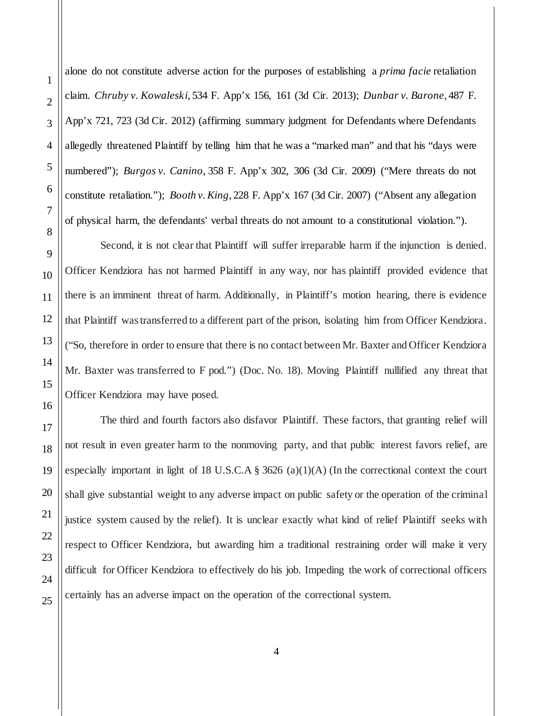alone do not constitute adverse action for the purposes of establishing a *prima facie* retaliation claim. *Chruby v. Kowaleski*, 534 F. App'x 156, 161 (3d Cir. 2013); *Dunbar v. Barone*, 487 F. App'x 721, 723 (3d Cir. 2012) (affirming summary judgment for Defendants where Defendants allegedly threatened Plaintiff by telling him that he was a "marked man" and that his "days were numbered"); *Burgos v. Canino*, 358 F. App'x 302, 306 (3d Cir. 2009) ("Mere threats do not constitute retaliation."); *Booth v. King*, 228 F. App'x 167 (3d Cir. 2007) ("Absent any allegation of physical harm, the defendants' verbal threats do not amount to a constitutional violation.").

Second, it is not clear that Plaintiff will suffer irreparable harm if the injunction is denied. Officer Kendziora has not harmed Plaintiff in any way, nor has plaintiff provided evidence that there is an imminent threat of harm. Additionally, in Plaintiff's motion hearing, there is evidence that Plaintiff was transferred to a different part of the prison, isolating him from Officer Kendziora. ("So, therefore in order to ensure that there is no contact between Mr. Baxter and Officer Kendziora Mr. Baxter was transferred to F pod.") (Doc. No. 18). Moving Plaintiff nullified any threat that Officer Kendziora may have posed.

The third and fourth factors also disfavor Plaintiff. These factors, that granting relief will not result in even greater harm to the nonmoving party, and that public interest favors relief, are especially important in light of 18 U.S.C.A  $\S$  3626 (a)(1)(A) (In the correctional context the court shall give substantial weight to any adverse impact on public safety or the operation of the criminal justice system caused by the relief). It is unclear exactly what kind of relief Plaintiff seeks with respect to Officer Kendziora, but awarding him a traditional restraining order will make it very difficult for Officer Kendziora to effectively do his job. Impeding the work of correctional officers certainly has an adverse impact on the operation of the correctional system.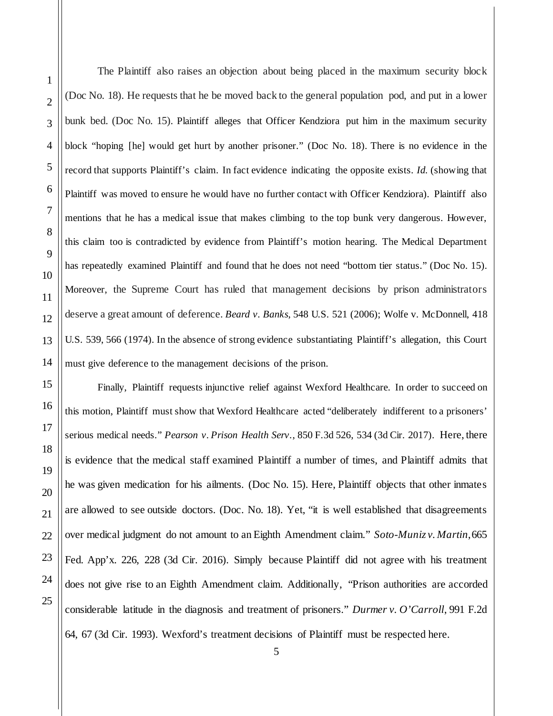The Plaintiff also raises an objection about being placed in the maximum security block (Doc No. 18). He requests that he be moved back to the general population pod, and put in a lower bunk bed. (Doc No. 15). Plaintiff alleges that Officer Kendziora put him in the maximum security block "hoping [he] would get hurt by another prisoner." (Doc No. 18). There is no evidence in the record that supports Plaintiff's claim. In fact evidence indicating the opposite exists. *Id.* (showing that Plaintiff was moved to ensure he would have no further contact with Officer Kendziora). Plaintiff also mentions that he has a medical issue that makes climbing to the top bunk very dangerous. However, this claim too is contradicted by evidence from Plaintiff's motion hearing. The Medical Department has repeatedly examined Plaintiff and found that he does not need "bottom tier status." (Doc No. 15). Moreover, the Supreme Court has ruled that management decisions by prison administrators deserve a great amount of deference. *Beard v. Banks*, 548 U.S. 521 (2006); Wolfe v. McDonnell, 418 U.S. 539, 566 (1974). In the absence of strong evidence substantiating Plaintiff's allegation, this Court must give deference to the management decisions of the prison.

Finally, Plaintiff requests injunctive relief against Wexford Healthcare. In order to succeed on this motion, Plaintiff must show that Wexford Healthcare acted "deliberately indifferent to a prisoners' serious medical needs." *Pearson v. Prison Health Serv.*, 850 F.3d 526, 534 (3d Cir. 2017). Here, there is evidence that the medical staff examined Plaintiff a number of times, and Plaintiff admits that he was given medication for his ailments. (Doc No. 15). Here, Plaintiff objects that other inmates are allowed to see outside doctors. (Doc. No. 18). Yet, "it is well established that disagreements over medical judgment do not amount to an Eighth Amendment claim." *Soto-Muniz v. Martin*, 665 Fed. App'x. 226, 228 (3d Cir. 2016). Simply because Plaintiff did not agree with his treatment does not give rise to an Eighth Amendment claim. Additionally, "Prison authorities are accorded considerable latitude in the diagnosis and treatment of prisoners." *Durmer v. O'Carroll*, 991 F.2d 64, 67 (3d Cir. 1993). Wexford's treatment decisions of Plaintiff must be respected here.